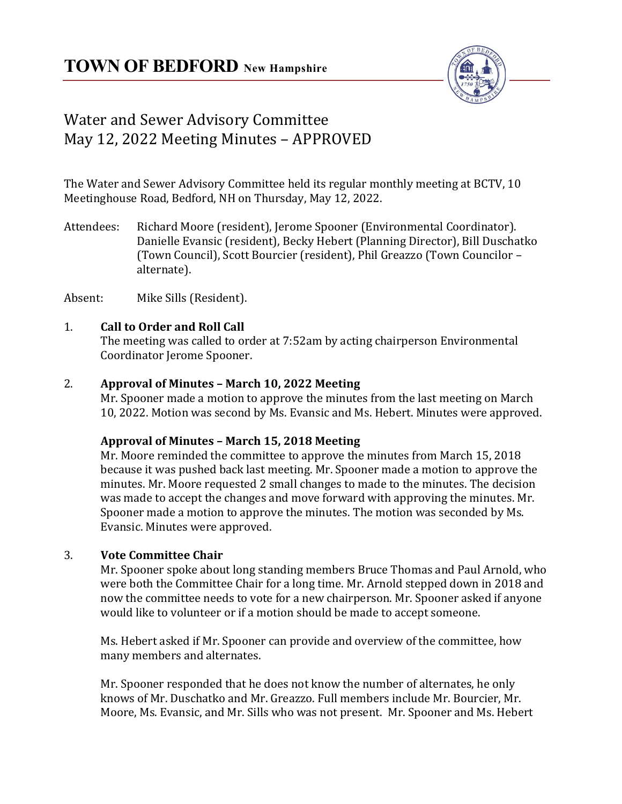

# Water and Sewer Advisory Committee May 12, 2022 Meeting Minutes – APPROVED

The Water and Sewer Advisory Committee held its regular monthly meeting at BCTV, 10 Meetinghouse Road, Bedford, NH on Thursday, May 12, 2022.

Attendees: Richard Moore (resident), Jerome Spooner (Environmental Coordinator). Danielle Evansic (resident), Becky Hebert (Planning Director), Bill Duschatko (Town Council), Scott Bourcier (resident), Phil Greazzo (Town Councilor – alternate).

Absent: Mike Sills (Resident).

# 1. **Call to Order and Roll Call**

The meeting was called to order at 7:52am by acting chairperson Environmental Coordinator Jerome Spooner.

#### 2. **Approval of Minutes – March 10, 2022 Meeting**

Mr. Spooner made a motion to approve the minutes from the last meeting on March 10, 2022. Motion was second by Ms. Evansic and Ms. Hebert. Minutes were approved.

# **Approval of Minutes – March 15, 2018 Meeting**

Mr. Moore reminded the committee to approve the minutes from March 15, 2018 because it was pushed back last meeting. Mr. Spooner made a motion to approve the minutes. Mr. Moore requested 2 small changes to made to the minutes. The decision was made to accept the changes and move forward with approving the minutes. Mr. Spooner made a motion to approve the minutes. The motion was seconded by Ms. Evansic. Minutes were approved.

# 3. **Vote Committee Chair**

Mr. Spooner spoke about long standing members Bruce Thomas and Paul Arnold, who were both the Committee Chair for a long time. Mr. Arnold stepped down in 2018 and now the committee needs to vote for a new chairperson. Mr. Spooner asked if anyone would like to volunteer or if a motion should be made to accept someone.

Ms. Hebert asked if Mr. Spooner can provide and overview of the committee, how many members and alternates.

Mr. Spooner responded that he does not know the number of alternates, he only knows of Mr. Duschatko and Mr. Greazzo. Full members include Mr. Bourcier, Mr. Moore, Ms. Evansic, and Mr. Sills who was not present. Mr. Spooner and Ms. Hebert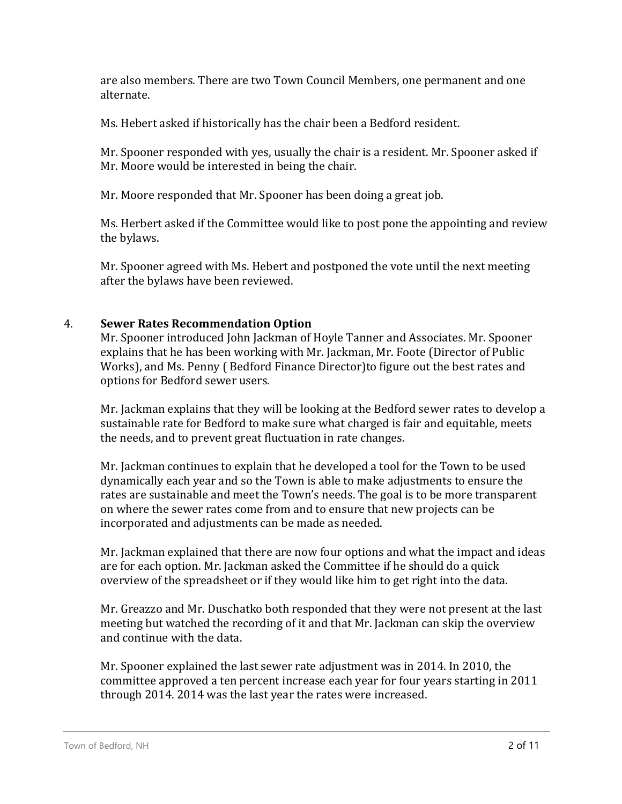are also members. There are two Town Council Members, one permanent and one alternate.

Ms. Hebert asked if historically has the chair been a Bedford resident.

Mr. Spooner responded with yes, usually the chair is a resident. Mr. Spooner asked if Mr. Moore would be interested in being the chair.

Mr. Moore responded that Mr. Spooner has been doing a great job.

Ms. Herbert asked if the Committee would like to post pone the appointing and review the bylaws.

Mr. Spooner agreed with Ms. Hebert and postponed the vote until the next meeting after the bylaws have been reviewed.

#### 4. **Sewer Rates Recommendation Option**

Mr. Spooner introduced John Jackman of Hoyle Tanner and Associates. Mr. Spooner explains that he has been working with Mr. Jackman, Mr. Foote (Director of Public Works), and Ms. Penny ( Bedford Finance Director)to figure out the best rates and options for Bedford sewer users.

Mr. Jackman explains that they will be looking at the Bedford sewer rates to develop a sustainable rate for Bedford to make sure what charged is fair and equitable, meets the needs, and to prevent great fluctuation in rate changes.

Mr. Jackman continues to explain that he developed a tool for the Town to be used dynamically each year and so the Town is able to make adjustments to ensure the rates are sustainable and meet the Town's needs. The goal is to be more transparent on where the sewer rates come from and to ensure that new projects can be incorporated and adjustments can be made as needed.

Mr. Jackman explained that there are now four options and what the impact and ideas are for each option. Mr. Jackman asked the Committee if he should do a quick overview of the spreadsheet or if they would like him to get right into the data.

Mr. Greazzo and Mr. Duschatko both responded that they were not present at the last meeting but watched the recording of it and that Mr. Jackman can skip the overview and continue with the data.

Mr. Spooner explained the last sewer rate adjustment was in 2014. In 2010, the committee approved a ten percent increase each year for four years starting in 2011 through 2014. 2014 was the last year the rates were increased.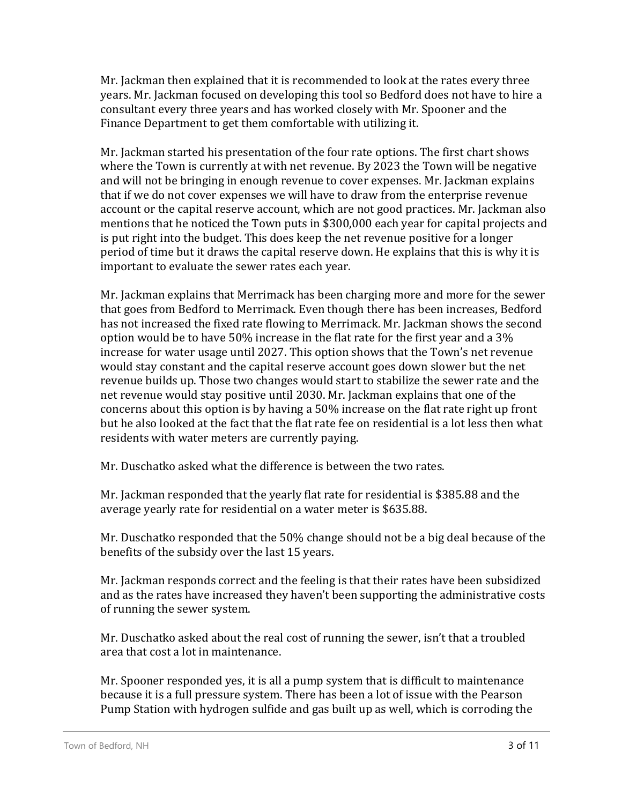Mr. Jackman then explained that it is recommended to look at the rates every three years. Mr. Jackman focused on developing this tool so Bedford does not have to hire a consultant every three years and has worked closely with Mr. Spooner and the Finance Department to get them comfortable with utilizing it.

Mr. Jackman started his presentation of the four rate options. The first chart shows where the Town is currently at with net revenue. By 2023 the Town will be negative and will not be bringing in enough revenue to cover expenses. Mr. Jackman explains that if we do not cover expenses we will have to draw from the enterprise revenue account or the capital reserve account, which are not good practices. Mr. Jackman also mentions that he noticed the Town puts in \$300,000 each year for capital projects and is put right into the budget. This does keep the net revenue positive for a longer period of time but it draws the capital reserve down. He explains that this is why it is important to evaluate the sewer rates each year.

Mr. Jackman explains that Merrimack has been charging more and more for the sewer that goes from Bedford to Merrimack. Even though there has been increases, Bedford has not increased the fixed rate flowing to Merrimack. Mr. Jackman shows the second option would be to have 50% increase in the flat rate for the first year and a 3% increase for water usage until 2027. This option shows that the Town's net revenue would stay constant and the capital reserve account goes down slower but the net revenue builds up. Those two changes would start to stabilize the sewer rate and the net revenue would stay positive until 2030. Mr. Jackman explains that one of the concerns about this option is by having a 50% increase on the flat rate right up front but he also looked at the fact that the flat rate fee on residential is a lot less then what residents with water meters are currently paying.

Mr. Duschatko asked what the difference is between the two rates.

Mr. Jackman responded that the yearly flat rate for residential is \$385.88 and the average yearly rate for residential on a water meter is \$635.88.

Mr. Duschatko responded that the 50% change should not be a big deal because of the benefits of the subsidy over the last 15 years.

Mr. Jackman responds correct and the feeling is that their rates have been subsidized and as the rates have increased they haven't been supporting the administrative costs of running the sewer system.

Mr. Duschatko asked about the real cost of running the sewer, isn't that a troubled area that cost a lot in maintenance.

Mr. Spooner responded yes, it is all a pump system that is difficult to maintenance because it is a full pressure system. There has been a lot of issue with the Pearson Pump Station with hydrogen sulfide and gas built up as well, which is corroding the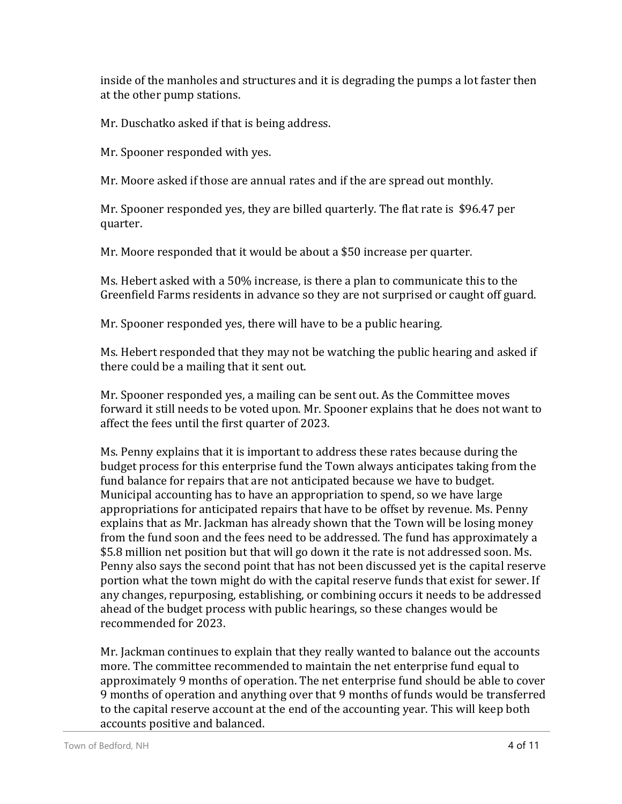inside of the manholes and structures and it is degrading the pumps a lot faster then at the other pump stations.

Mr. Duschatko asked if that is being address.

Mr. Spooner responded with yes.

Mr. Moore asked if those are annual rates and if the are spread out monthly.

Mr. Spooner responded yes, they are billed quarterly. The flat rate is \$96.47 per quarter.

Mr. Moore responded that it would be about a \$50 increase per quarter.

Ms. Hebert asked with a 50% increase, is there a plan to communicate this to the Greenfield Farms residents in advance so they are not surprised or caught off guard.

Mr. Spooner responded yes, there will have to be a public hearing.

Ms. Hebert responded that they may not be watching the public hearing and asked if there could be a mailing that it sent out.

Mr. Spooner responded yes, a mailing can be sent out. As the Committee moves forward it still needs to be voted upon. Mr. Spooner explains that he does not want to affect the fees until the first quarter of 2023.

Ms. Penny explains that it is important to address these rates because during the budget process for this enterprise fund the Town always anticipates taking from the fund balance for repairs that are not anticipated because we have to budget. Municipal accounting has to have an appropriation to spend, so we have large appropriations for anticipated repairs that have to be offset by revenue. Ms. Penny explains that as Mr. Jackman has already shown that the Town will be losing money from the fund soon and the fees need to be addressed. The fund has approximately a \$5.8 million net position but that will go down it the rate is not addressed soon. Ms. Penny also says the second point that has not been discussed yet is the capital reserve portion what the town might do with the capital reserve funds that exist for sewer. If any changes, repurposing, establishing, or combining occurs it needs to be addressed ahead of the budget process with public hearings, so these changes would be recommended for 2023.

Mr. Jackman continues to explain that they really wanted to balance out the accounts more. The committee recommended to maintain the net enterprise fund equal to approximately 9 months of operation. The net enterprise fund should be able to cover 9 months of operation and anything over that 9 months of funds would be transferred to the capital reserve account at the end of the accounting year. This will keep both accounts positive and balanced.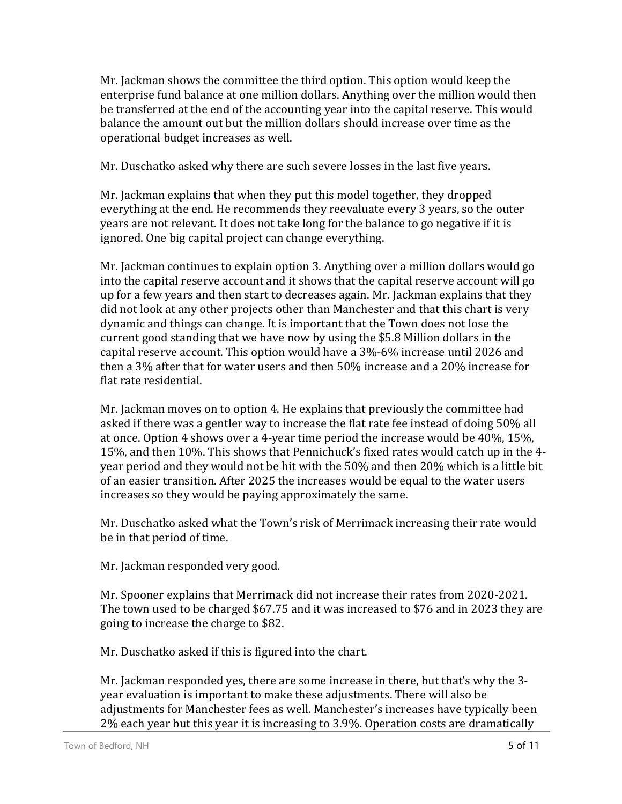Mr. Jackman shows the committee the third option. This option would keep the enterprise fund balance at one million dollars. Anything over the million would then be transferred at the end of the accounting year into the capital reserve. This would balance the amount out but the million dollars should increase over time as the operational budget increases as well.

Mr. Duschatko asked why there are such severe losses in the last five years.

Mr. Jackman explains that when they put this model together, they dropped everything at the end. He recommends they reevaluate every 3 years, so the outer years are not relevant. It does not take long for the balance to go negative if it is ignored. One big capital project can change everything.

Mr. Jackman continues to explain option 3. Anything over a million dollars would go into the capital reserve account and it shows that the capital reserve account will go up for a few years and then start to decreases again. Mr. Jackman explains that they did not look at any other projects other than Manchester and that this chart is very dynamic and things can change. It is important that the Town does not lose the current good standing that we have now by using the \$5.8 Million dollars in the capital reserve account. This option would have a 3%-6% increase until 2026 and then a 3% after that for water users and then 50% increase and a 20% increase for flat rate residential.

Mr. Jackman moves on to option 4. He explains that previously the committee had asked if there was a gentler way to increase the flat rate fee instead of doing 50% all at once. Option 4 shows over a 4-year time period the increase would be 40%, 15%, 15%, and then 10%. This shows that Pennichuck's fixed rates would catch up in the 4 year period and they would not be hit with the 50% and then 20% which is a little bit of an easier transition. After 2025 the increases would be equal to the water users increases so they would be paying approximately the same.

Mr. Duschatko asked what the Town's risk of Merrimack increasing their rate would be in that period of time.

Mr. Jackman responded very good.

Mr. Spooner explains that Merrimack did not increase their rates from 2020-2021. The town used to be charged \$67.75 and it was increased to \$76 and in 2023 they are going to increase the charge to \$82.

Mr. Duschatko asked if this is figured into the chart.

Mr. Jackman responded yes, there are some increase in there, but that's why the 3 year evaluation is important to make these adjustments. There will also be adjustments for Manchester fees as well. Manchester's increases have typically been 2% each year but this year it is increasing to 3.9%. Operation costs are dramatically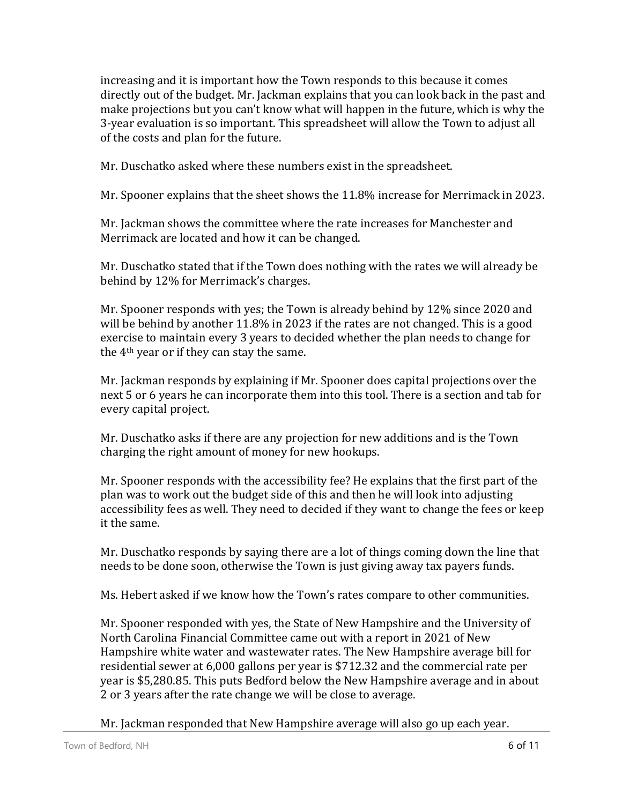increasing and it is important how the Town responds to this because it comes directly out of the budget. Mr. Jackman explains that you can look back in the past and make projections but you can't know what will happen in the future, which is why the 3-year evaluation is so important. This spreadsheet will allow the Town to adjust all of the costs and plan for the future.

Mr. Duschatko asked where these numbers exist in the spreadsheet.

Mr. Spooner explains that the sheet shows the 11.8% increase for Merrimack in 2023.

Mr. Jackman shows the committee where the rate increases for Manchester and Merrimack are located and how it can be changed.

Mr. Duschatko stated that if the Town does nothing with the rates we will already be behind by 12% for Merrimack's charges.

Mr. Spooner responds with yes; the Town is already behind by 12% since 2020 and will be behind by another 11.8% in 2023 if the rates are not changed. This is a good exercise to maintain every 3 years to decided whether the plan needs to change for the 4th year or if they can stay the same.

Mr. Jackman responds by explaining if Mr. Spooner does capital projections over the next 5 or 6 years he can incorporate them into this tool. There is a section and tab for every capital project.

Mr. Duschatko asks if there are any projection for new additions and is the Town charging the right amount of money for new hookups.

Mr. Spooner responds with the accessibility fee? He explains that the first part of the plan was to work out the budget side of this and then he will look into adjusting accessibility fees as well. They need to decided if they want to change the fees or keep it the same.

Mr. Duschatko responds by saying there are a lot of things coming down the line that needs to be done soon, otherwise the Town is just giving away tax payers funds.

Ms. Hebert asked if we know how the Town's rates compare to other communities.

Mr. Spooner responded with yes, the State of New Hampshire and the University of North Carolina Financial Committee came out with a report in 2021 of New Hampshire white water and wastewater rates. The New Hampshire average bill for residential sewer at 6,000 gallons per year is \$712.32 and the commercial rate per year is \$5,280.85. This puts Bedford below the New Hampshire average and in about 2 or 3 years after the rate change we will be close to average.

Mr. Jackman responded that New Hampshire average will also go up each year.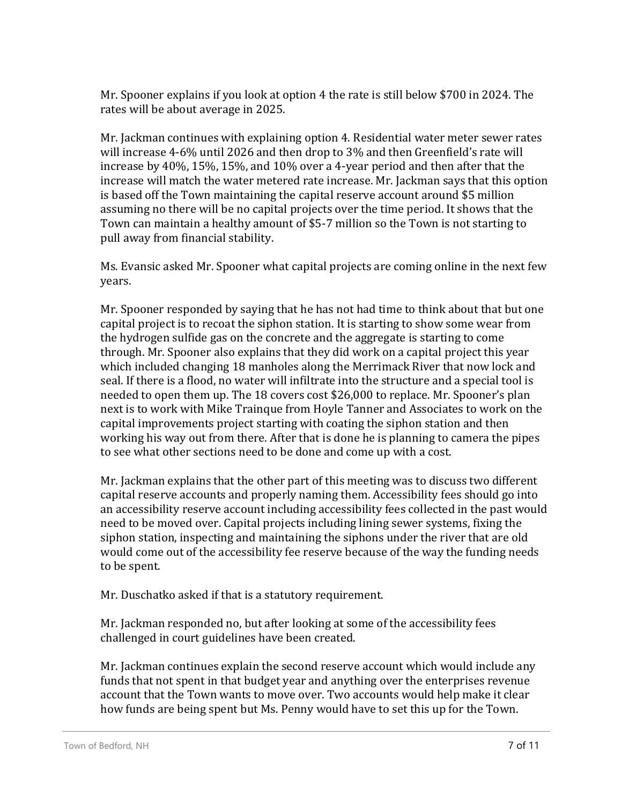Mr. Spooner explains if you look at option 4 the rate is still below \$700 in 2024. The rates will be about average in 2025.

Mr. Jackman continues with explaining option 4. Residential water meter sewer rates will increase 4-6% until 2026 and then drop to 3% and then Greenfield's rate will increase by 40%, 15%, 15%, and 10% over a 4-year period and then after that the increase will match the water metered rate increase. Mr. Jackman says that this option is based off the Town maintaining the capital reserve account around \$5 million assuming no there will be no capital projects over the time period. It shows that the Town can maintain a healthy amount of \$5-7 million so the Town is not starting to pull away from financial stability.

Ms. Evansic asked Mr. Spooner what capital projects are coming online in the next few years.

Mr. Spooner responded by saying that he has not had time to think about that but one capital project is to recoat the siphon station. It is starting to show some wear from the hydrogen sulfide gas on the concrete and the aggregate is starting to come through. Mr. Spooner also explains that they did work on a capital project this year which included changing 18 manholes along the Merrimack River that now lock and seal. If there is a flood, no water will infiltrate into the structure and a special tool is needed to open them up. The 18 covers cost \$26,000 to replace. Mr. Spooner's plan next is to work with Mike Trainque from Hoyle Tanner and Associates to work on the capital improvements project starting with coating the siphon station and then working his way out from there. After that is done he is planning to camera the pipes to see what other sections need to be done and come up with a cost.

Mr. Jackman explains that the other part of this meeting was to discuss two different capital reserve accounts and properly naming them. Accessibility fees should go into an accessibility reserve account including accessibility fees collected in the past would need to be moved over. Capital projects including lining sewer systems, fixing the siphon station, inspecting and maintaining the siphons under the river that are old would come out of the accessibility fee reserve because of the way the funding needs to be spent.

Mr. Duschatko asked if that is a statutory requirement.

Mr. Jackman responded no, but after looking at some of the accessibility fees challenged in court guidelines have been created.

Mr. Jackman continues explain the second reserve account which would include any funds that not spent in that budget year and anything over the enterprises revenue account that the Town wants to move over. Two accounts would help make it clear how funds are being spent but Ms. Penny would have to set this up for the Town.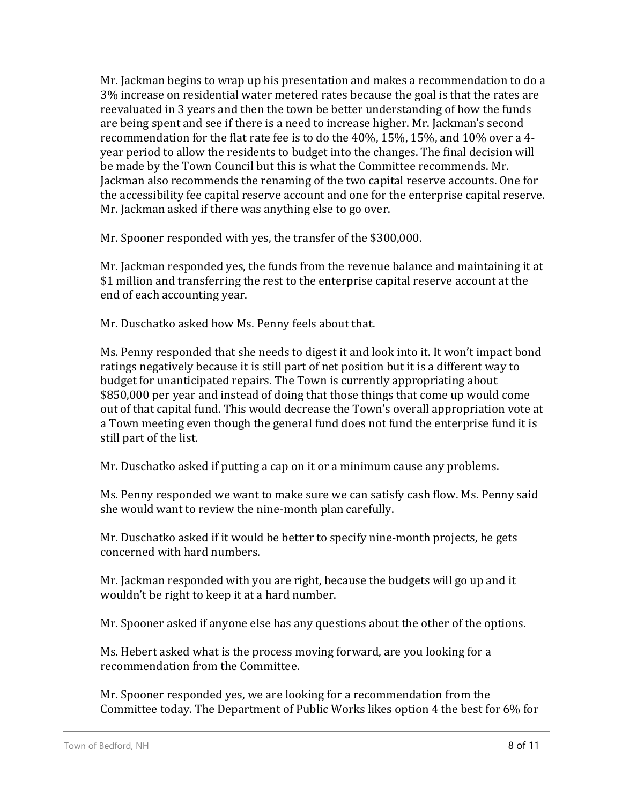Mr. Jackman begins to wrap up his presentation and makes a recommendation to do a 3% increase on residential water metered rates because the goal is that the rates are reevaluated in 3 years and then the town be better understanding of how the funds are being spent and see if there is a need to increase higher. Mr. Jackman's second recommendation for the flat rate fee is to do the 40%, 15%, 15%, and 10% over a 4 year period to allow the residents to budget into the changes. The final decision will be made by the Town Council but this is what the Committee recommends. Mr. Jackman also recommends the renaming of the two capital reserve accounts. One for the accessibility fee capital reserve account and one for the enterprise capital reserve. Mr. Jackman asked if there was anything else to go over.

Mr. Spooner responded with yes, the transfer of the \$300,000.

Mr. Jackman responded yes, the funds from the revenue balance and maintaining it at \$1 million and transferring the rest to the enterprise capital reserve account at the end of each accounting year.

Mr. Duschatko asked how Ms. Penny feels about that.

Ms. Penny responded that she needs to digest it and look into it. It won't impact bond ratings negatively because it is still part of net position but it is a different way to budget for unanticipated repairs. The Town is currently appropriating about \$850,000 per year and instead of doing that those things that come up would come out of that capital fund. This would decrease the Town's overall appropriation vote at a Town meeting even though the general fund does not fund the enterprise fund it is still part of the list.

Mr. Duschatko asked if putting a cap on it or a minimum cause any problems.

Ms. Penny responded we want to make sure we can satisfy cash flow. Ms. Penny said she would want to review the nine-month plan carefully.

Mr. Duschatko asked if it would be better to specify nine-month projects, he gets concerned with hard numbers.

Mr. Jackman responded with you are right, because the budgets will go up and it wouldn't be right to keep it at a hard number.

Mr. Spooner asked if anyone else has any questions about the other of the options.

Ms. Hebert asked what is the process moving forward, are you looking for a recommendation from the Committee.

Mr. Spooner responded yes, we are looking for a recommendation from the Committee today. The Department of Public Works likes option 4 the best for 6% for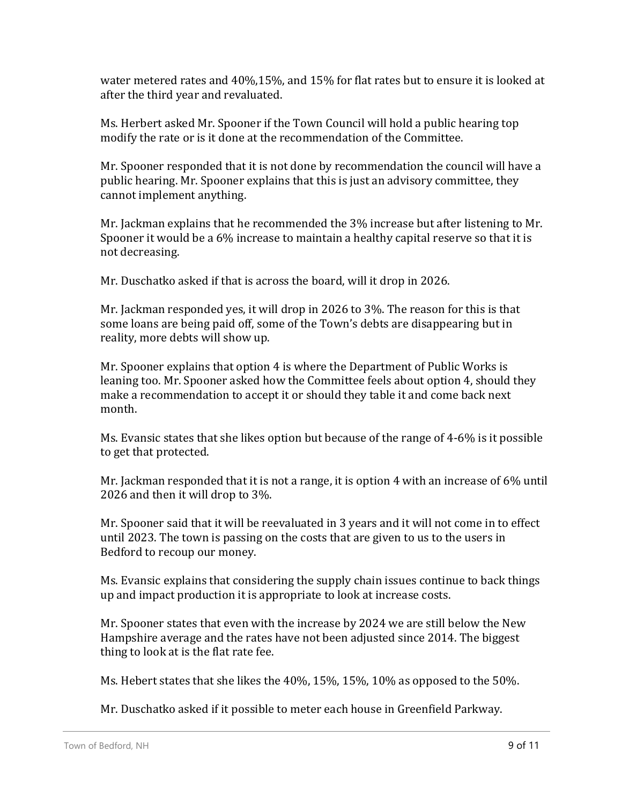water metered rates and 40%,15%, and 15% for flat rates but to ensure it is looked at after the third year and revaluated.

Ms. Herbert asked Mr. Spooner if the Town Council will hold a public hearing top modify the rate or is it done at the recommendation of the Committee.

Mr. Spooner responded that it is not done by recommendation the council will have a public hearing. Mr. Spooner explains that this is just an advisory committee, they cannot implement anything.

Mr. Jackman explains that he recommended the 3% increase but after listening to Mr. Spooner it would be a 6% increase to maintain a healthy capital reserve so that it is not decreasing.

Mr. Duschatko asked if that is across the board, will it drop in 2026.

Mr. Jackman responded yes, it will drop in 2026 to 3%. The reason for this is that some loans are being paid off, some of the Town's debts are disappearing but in reality, more debts will show up.

Mr. Spooner explains that option 4 is where the Department of Public Works is leaning too. Mr. Spooner asked how the Committee feels about option 4, should they make a recommendation to accept it or should they table it and come back next month.

Ms. Evansic states that she likes option but because of the range of 4-6% is it possible to get that protected.

Mr. Jackman responded that it is not a range, it is option 4 with an increase of 6% until 2026 and then it will drop to 3%.

Mr. Spooner said that it will be reevaluated in 3 years and it will not come in to effect until 2023. The town is passing on the costs that are given to us to the users in Bedford to recoup our money.

Ms. Evansic explains that considering the supply chain issues continue to back things up and impact production it is appropriate to look at increase costs.

Mr. Spooner states that even with the increase by 2024 we are still below the New Hampshire average and the rates have not been adjusted since 2014. The biggest thing to look at is the flat rate fee.

Ms. Hebert states that she likes the 40%, 15%, 15%, 10% as opposed to the 50%.

Mr. Duschatko asked if it possible to meter each house in Greenfield Parkway.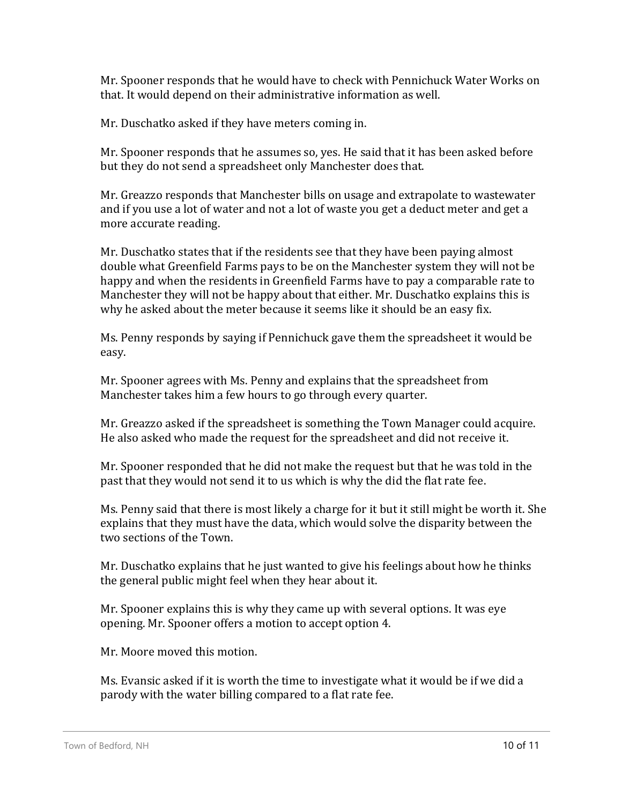Mr. Spooner responds that he would have to check with Pennichuck Water Works on that. It would depend on their administrative information as well.

Mr. Duschatko asked if they have meters coming in.

Mr. Spooner responds that he assumes so, yes. He said that it has been asked before but they do not send a spreadsheet only Manchester does that.

Mr. Greazzo responds that Manchester bills on usage and extrapolate to wastewater and if you use a lot of water and not a lot of waste you get a deduct meter and get a more accurate reading.

Mr. Duschatko states that if the residents see that they have been paying almost double what Greenfield Farms pays to be on the Manchester system they will not be happy and when the residents in Greenfield Farms have to pay a comparable rate to Manchester they will not be happy about that either. Mr. Duschatko explains this is why he asked about the meter because it seems like it should be an easy fix.

Ms. Penny responds by saying if Pennichuck gave them the spreadsheet it would be easy.

Mr. Spooner agrees with Ms. Penny and explains that the spreadsheet from Manchester takes him a few hours to go through every quarter.

Mr. Greazzo asked if the spreadsheet is something the Town Manager could acquire. He also asked who made the request for the spreadsheet and did not receive it.

Mr. Spooner responded that he did not make the request but that he was told in the past that they would not send it to us which is why the did the flat rate fee.

Ms. Penny said that there is most likely a charge for it but it still might be worth it. She explains that they must have the data, which would solve the disparity between the two sections of the Town.

Mr. Duschatko explains that he just wanted to give his feelings about how he thinks the general public might feel when they hear about it.

Mr. Spooner explains this is why they came up with several options. It was eye opening. Mr. Spooner offers a motion to accept option 4.

Mr. Moore moved this motion.

Ms. Evansic asked if it is worth the time to investigate what it would be if we did a parody with the water billing compared to a flat rate fee.